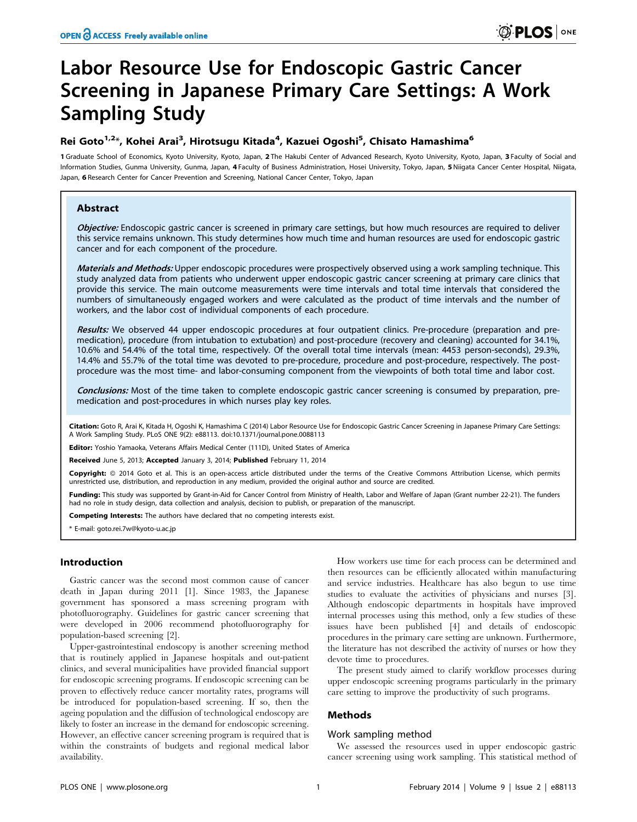# Labor Resource Use for Endoscopic Gastric Cancer Screening in Japanese Primary Care Settings: A Work Sampling Study

# Rei Goto<sup>1,2</sup>\*, Kohei Arai<sup>3</sup>, Hirotsugu Kitada<sup>4</sup>, Kazuei Ogoshi<sup>5</sup>, Chisato Hamashima<sup>6</sup>

1 Graduate School of Economics, Kyoto University, Kyoto, Japan, 2 The Hakubi Center of Advanced Research, Kyoto University, Kyoto, Japan, 3 Faculty of Social and Information Studies, Gunma University, Gunma, Japan, 4 Faculty of Business Administration, Hosei University, Tokyo, Japan, 5Niigata Cancer Center Hospital, Niigata, Japan, 6 Research Center for Cancer Prevention and Screening, National Cancer Center, Tokyo, Japan

## Abstract

Objective: Endoscopic gastric cancer is screened in primary care settings, but how much resources are required to deliver this service remains unknown. This study determines how much time and human resources are used for endoscopic gastric cancer and for each component of the procedure.

Materials and Methods: Upper endoscopic procedures were prospectively observed using a work sampling technique. This study analyzed data from patients who underwent upper endoscopic gastric cancer screening at primary care clinics that provide this service. The main outcome measurements were time intervals and total time intervals that considered the numbers of simultaneously engaged workers and were calculated as the product of time intervals and the number of workers, and the labor cost of individual components of each procedure.

Results: We observed 44 upper endoscopic procedures at four outpatient clinics. Pre-procedure (preparation and premedication), procedure (from intubation to extubation) and post-procedure (recovery and cleaning) accounted for 34.1%, 10.6% and 54.4% of the total time, respectively. Of the overall total time intervals (mean: 4453 person-seconds), 29.3%, 14.4% and 55.7% of the total time was devoted to pre-procedure, procedure and post-procedure, respectively. The postprocedure was the most time- and labor-consuming component from the viewpoints of both total time and labor cost.

Conclusions: Most of the time taken to complete endoscopic gastric cancer screening is consumed by preparation, premedication and post-procedures in which nurses play key roles.

Citation: Goto R, Arai K, Kitada H, Ogoshi K, Hamashima C (2014) Labor Resource Use for Endoscopic Gastric Cancer Screening in Japanese Primary Care Settings: A Work Sampling Study. PLoS ONE 9(2): e88113. doi:10.1371/journal.pone.0088113

Editor: Yoshio Yamaoka, Veterans Affairs Medical Center (111D), United States of America

Received June 5, 2013; Accepted January 3, 2014; Published February 11, 2014

Copyright: © 2014 Goto et al. This is an open-access article distributed under the terms of the [Creative Commons Attribution License,](http://creativecommons.org/licenses/by/4.0/) which permits estricted use, distribution, and reproduction in any medium, provided the original author and source are credited.

Funding: This study was supported by Grant-in-Aid for Cancer Control from Ministry of Health, Labor and Welfare of Japan (Grant number 22-21). The funders had no role in study design, data collection and analysis, decision to publish, or preparation of the manuscript.

Competing Interests: The authors have declared that no competing interests exist.

\* E-mail: goto.rei.7w@kyoto-u.ac.jp

## Introduction

Gastric cancer was the second most common cause of cancer death in Japan during 2011 [1]. Since 1983, the Japanese government has sponsored a mass screening program with photofluorography. Guidelines for gastric cancer screening that were developed in 2006 recommend photofluorography for population-based screening [2].

Upper-gastrointestinal endoscopy is another screening method that is routinely applied in Japanese hospitals and out-patient clinics, and several municipalities have provided financial support for endoscopic screening programs. If endoscopic screening can be proven to effectively reduce cancer mortality rates, programs will be introduced for population-based screening. If so, then the ageing population and the diffusion of technological endoscopy are likely to foster an increase in the demand for endoscopic screening. However, an effective cancer screening program is required that is within the constraints of budgets and regional medical labor availability.

How workers use time for each process can be determined and then resources can be efficiently allocated within manufacturing and service industries. Healthcare has also begun to use time studies to evaluate the activities of physicians and nurses [3]. Although endoscopic departments in hospitals have improved internal processes using this method, only a few studies of these issues have been published [4] and details of endoscopic procedures in the primary care setting are unknown. Furthermore, the literature has not described the activity of nurses or how they devote time to procedures.

The present study aimed to clarify workflow processes during upper endoscopic screening programs particularly in the primary care setting to improve the productivity of such programs.

## Methods

#### Work sampling method

We assessed the resources used in upper endoscopic gastric cancer screening using work sampling. This statistical method of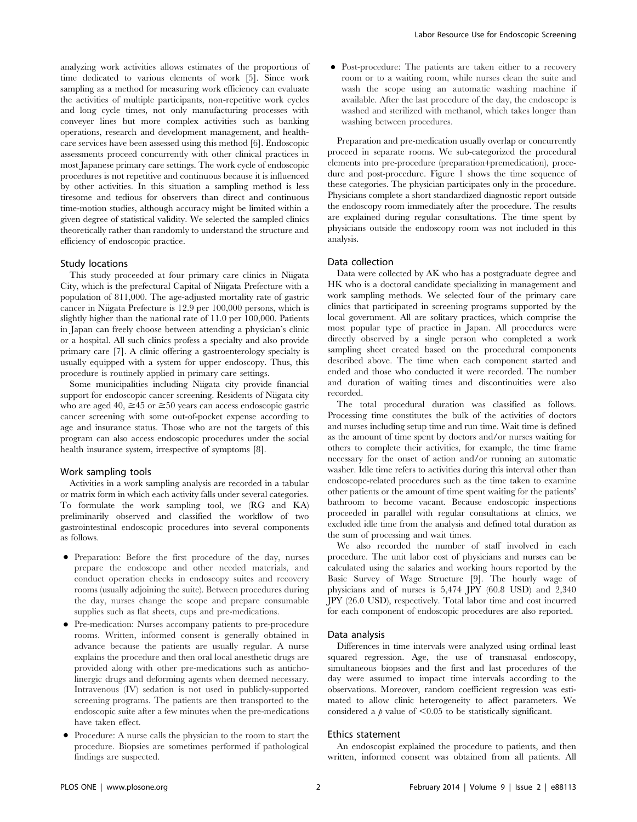analyzing work activities allows estimates of the proportions of time dedicated to various elements of work [5]. Since work sampling as a method for measuring work efficiency can evaluate the activities of multiple participants, non-repetitive work cycles and long cycle times, not only manufacturing processes with conveyer lines but more complex activities such as banking operations, research and development management, and healthcare services have been assessed using this method [6]. Endoscopic assessments proceed concurrently with other clinical practices in most Japanese primary care settings. The work cycle of endoscopic procedures is not repetitive and continuous because it is influenced by other activities. In this situation a sampling method is less tiresome and tedious for observers than direct and continuous time-motion studies, although accuracy might be limited within a given degree of statistical validity. We selected the sampled clinics theoretically rather than randomly to understand the structure and efficiency of endoscopic practice.

#### Study locations

This study proceeded at four primary care clinics in Niigata City, which is the prefectural Capital of Niigata Prefecture with a population of 811,000. The age-adjusted mortality rate of gastric cancer in Niigata Prefecture is 12.9 per 100,000 persons, which is slightly higher than the national rate of 11.0 per 100,000. Patients in Japan can freely choose between attending a physician's clinic or a hospital. All such clinics profess a specialty and also provide primary care [7]. A clinic offering a gastroenterology specialty is usually equipped with a system for upper endoscopy. Thus, this procedure is routinely applied in primary care settings.

Some municipalities including Niigata city provide financial support for endoscopic cancer screening. Residents of Niigata city who are aged 40,  $\geq$ 45 or  $\geq$ 50 years can access endoscopic gastric cancer screening with some out-of-pocket expense according to age and insurance status. Those who are not the targets of this program can also access endoscopic procedures under the social health insurance system, irrespective of symptoms [8].

## Work sampling tools

Activities in a work sampling analysis are recorded in a tabular or matrix form in which each activity falls under several categories. To formulate the work sampling tool, we (RG and KA) preliminarily observed and classified the workflow of two gastrointestinal endoscopic procedures into several components as follows.

- N Preparation: Before the first procedure of the day, nurses prepare the endoscope and other needed materials, and conduct operation checks in endoscopy suites and recovery rooms (usually adjoining the suite). Between procedures during the day, nurses change the scope and prepare consumable supplies such as flat sheets, cups and pre-medications.
- Pre-medication: Nurses accompany patients to pre-procedure rooms. Written, informed consent is generally obtained in advance because the patients are usually regular. A nurse explains the procedure and then oral local anesthetic drugs are provided along with other pre-medications such as anticholinergic drugs and deforming agents when deemed necessary. Intravenous (IV) sedation is not used in publicly-supported screening programs. The patients are then transported to the endoscopic suite after a few minutes when the pre-medications have taken effect.
- N Procedure: A nurse calls the physician to the room to start the procedure. Biopsies are sometimes performed if pathological findings are suspected.

N Post-procedure: The patients are taken either to a recovery room or to a waiting room, while nurses clean the suite and wash the scope using an automatic washing machine if available. After the last procedure of the day, the endoscope is washed and sterilized with methanol, which takes longer than washing between procedures.

Preparation and pre-medication usually overlap or concurrently proceed in separate rooms. We sub-categorized the procedural elements into pre-procedure (preparation+premedication), procedure and post-procedure. Figure 1 shows the time sequence of these categories. The physician participates only in the procedure. Physicians complete a short standardized diagnostic report outside the endoscopy room immediately after the procedure. The results are explained during regular consultations. The time spent by physicians outside the endoscopy room was not included in this analysis.

#### Data collection

Data were collected by AK who has a postgraduate degree and HK who is a doctoral candidate specializing in management and work sampling methods. We selected four of the primary care clinics that participated in screening programs supported by the local government. All are solitary practices, which comprise the most popular type of practice in Japan. All procedures were directly observed by a single person who completed a work sampling sheet created based on the procedural components described above. The time when each component started and ended and those who conducted it were recorded. The number and duration of waiting times and discontinuities were also recorded.

The total procedural duration was classified as follows. Processing time constitutes the bulk of the activities of doctors and nurses including setup time and run time. Wait time is defined as the amount of time spent by doctors and/or nurses waiting for others to complete their activities, for example, the time frame necessary for the onset of action and/or running an automatic washer. Idle time refers to activities during this interval other than endoscope-related procedures such as the time taken to examine other patients or the amount of time spent waiting for the patients' bathroom to become vacant. Because endoscopic inspections proceeded in parallel with regular consultations at clinics, we excluded idle time from the analysis and defined total duration as the sum of processing and wait times.

We also recorded the number of staff involved in each procedure. The unit labor cost of physicians and nurses can be calculated using the salaries and working hours reported by the Basic Survey of Wage Structure [9]. The hourly wage of physicians and of nurses is 5,474 JPY (60.8 USD) and 2,340 JPY (26.0 USD), respectively. Total labor time and cost incurred for each component of endoscopic procedures are also reported.

#### Data analysis

Differences in time intervals were analyzed using ordinal least squared regression. Age, the use of transnasal endoscopy, simultaneous biopsies and the first and last procedures of the day were assumed to impact time intervals according to the observations. Moreover, random coefficient regression was estimated to allow clinic heterogeneity to affect parameters. We considered a  $\beta$  value of <0.05 to be statistically significant.

## Ethics statement

An endoscopist explained the procedure to patients, and then written, informed consent was obtained from all patients. All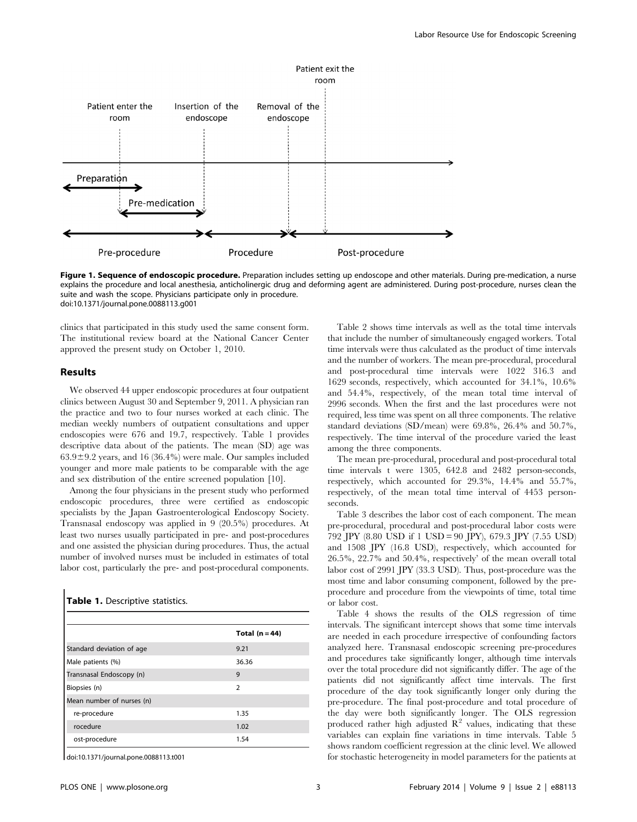

Figure 1. Sequence of endoscopic procedure. Preparation includes setting up endoscope and other materials. During pre-medication, a nurse explains the procedure and local anesthesia, anticholinergic drug and deforming agent are administered. During post-procedure, nurses clean the suite and wash the scope. Physicians participate only in procedure. doi:10.1371/journal.pone.0088113.g001

clinics that participated in this study used the same consent form. The institutional review board at the National Cancer Center approved the present study on October 1, 2010.

## Results

We observed 44 upper endoscopic procedures at four outpatient clinics between August 30 and September 9, 2011. A physician ran the practice and two to four nurses worked at each clinic. The median weekly numbers of outpatient consultations and upper endoscopies were 676 and 19.7, respectively. Table 1 provides descriptive data about of the patients. The mean (SD) age was  $63.9\pm9.2$  years, and 16 (36.4%) were male. Our samples included younger and more male patients to be comparable with the age and sex distribution of the entire screened population [10].

Among the four physicians in the present study who performed endoscopic procedures, three were certified as endoscopic specialists by the Japan Gastroenterological Endoscopy Society. Transnasal endoscopy was applied in 9 (20.5%) procedures. At least two nurses usually participated in pre- and post-procedures and one assisted the physician during procedures. Thus, the actual number of involved nurses must be included in estimates of total labor cost, particularly the pre- and post-procedural components.

|  |  | Table 1. Descriptive statistics. |  |
|--|--|----------------------------------|--|
|--|--|----------------------------------|--|

|                           | Total $(n=44)$ |
|---------------------------|----------------|
| Standard deviation of age | 9.21           |
| Male patients (%)         | 36.36          |
| Transnasal Endoscopy (n)  | 9              |
| Biopsies (n)              | $\mathcal{P}$  |
| Mean number of nurses (n) |                |
| re-procedure              | 1.35           |
| rocedure                  | 1.02           |
| ost-procedure             | 1.54           |

doi:10.1371/journal.pone.0088113.t001

Table 2 shows time intervals as well as the total time intervals that include the number of simultaneously engaged workers. Total time intervals were thus calculated as the product of time intervals and the number of workers. The mean pre-procedural, procedural and post-procedural time intervals were 1022 316.3 and 1629 seconds, respectively, which accounted for 34.1%, 10.6% and 54.4%, respectively, of the mean total time interval of 2996 seconds. When the first and the last procedures were not required, less time was spent on all three components. The relative standard deviations (SD/mean) were 69.8%, 26.4% and 50.7%, respectively. The time interval of the procedure varied the least among the three components.

The mean pre-procedural, procedural and post-procedural total time intervals t were 1305, 642.8 and 2482 person-seconds, respectively, which accounted for 29.3%, 14.4% and 55.7%, respectively, of the mean total time interval of 4453 personseconds.

Table 3 describes the labor cost of each component. The mean pre-procedural, procedural and post-procedural labor costs were 792 JPY (8.80 USD if 1 USD = 90 JPY), 679.3 JPY (7.55 USD) and 1508 JPY (16.8 USD), respectively, which accounted for 26.5%, 22.7% and 50.4%, respectively' of the mean overall total labor cost of 2991 JPY (33.3 USD). Thus, post-procedure was the most time and labor consuming component, followed by the preprocedure and procedure from the viewpoints of time, total time or labor cost.

Table 4 shows the results of the OLS regression of time intervals. The significant intercept shows that some time intervals are needed in each procedure irrespective of confounding factors analyzed here. Transnasal endoscopic screening pre-procedures and procedures take significantly longer, although time intervals over the total procedure did not significantly differ. The age of the patients did not significantly affect time intervals. The first procedure of the day took significantly longer only during the pre-procedure. The final post-procedure and total procedure of the day were both significantly longer. The OLS regression produced rather high adjusted  $\mathbb{R}^2$  values, indicating that these variables can explain fine variations in time intervals. Table 5 shows random coefficient regression at the clinic level. We allowed for stochastic heterogeneity in model parameters for the patients at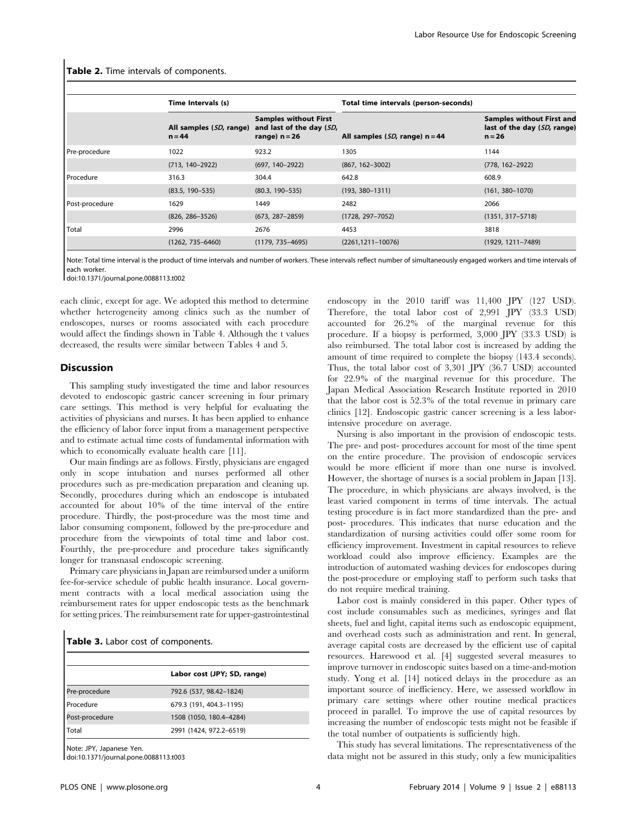#### Table 2. Time intervals of components.

|                | Time Intervals (s)                  |                                                                             | Total time intervals (person-seconds) |                                                                             |  |  |
|----------------|-------------------------------------|-----------------------------------------------------------------------------|---------------------------------------|-----------------------------------------------------------------------------|--|--|
|                | All samples (SD, range)<br>$n = 44$ | <b>Samples without First</b><br>and last of the day (SD,<br>range) $n = 26$ | All samples (SD, range) $n = 44$      | <b>Samples without First and</b><br>last of the day (SD, range)<br>$n = 26$ |  |  |
| Pre-procedure  | 1022                                | 923.2                                                                       | 1305                                  | 1144                                                                        |  |  |
|                | $(713, 140 - 2922)$                 | $(697, 140 - 2922)$                                                         | $(867, 162 - 3002)$                   | $(778, 162 - 2922)$                                                         |  |  |
| Procedure      | 316.3                               | 304.4                                                                       | 642.8                                 | 608.9                                                                       |  |  |
|                | $(83.5, 190 - 535)$                 | $(80.3, 190 - 535)$                                                         | $(193, 380 - 1311)$                   | $(161, 380 - 1070)$                                                         |  |  |
| Post-procedure | 1629                                | 1449                                                                        | 2482                                  | 2066                                                                        |  |  |
|                | $(826, 286 - 3526)$                 | $(673, 287 - 2859)$                                                         | $(1728, 297 - 7052)$                  | $(1351, 317 - 5718)$                                                        |  |  |
| Total          | 2996                                | 2676                                                                        | 4453                                  | 3818                                                                        |  |  |
|                | $(1262, 735 - 6460)$                | $(1179, 735 - 4695)$                                                        | $(2261, 1211 - 10076)$                | $(1929, 1211 - 7489)$                                                       |  |  |

Note: Total time interval is the product of time intervals and number of workers. These intervals reflect number of simultaneously engaged workers and time intervals of each worker.

doi:10.1371/journal.pone.0088113.t002

each clinic, except for age. We adopted this method to determine whether heterogeneity among clinics such as the number of endoscopes, nurses or rooms associated with each procedure would affect the findings shown in Table 4. Although the t values decreased, the results were similar between Tables 4 and 5.

## Discussion

This sampling study investigated the time and labor resources devoted to endoscopic gastric cancer screening in four primary care settings. This method is very helpful for evaluating the activities of physicians and nurses. It has been applied to enhance the efficiency of labor force input from a management perspective and to estimate actual time costs of fundamental information with which to economically evaluate health care [11].

Our main findings are as follows. Firstly, physicians are engaged only in scope intubation and nurses performed all other procedures such as pre-medication preparation and cleaning up. Secondly, procedures during which an endoscope is intubated accounted for about 10% of the time interval of the entire procedure. Thirdly, the post-procedure was the most time and labor consuming component, followed by the pre-procedure and procedure from the viewpoints of total time and labor cost. Fourthly, the pre-procedure and procedure takes significantly longer for transnasal endoscopic screening.

Primary care physicians in Japan are reimbursed under a uniform fee-for-service schedule of public health insurance. Local government contracts with a local medical association using the reimbursement rates for upper endoscopic tests as the benchmark for setting prices. The reimbursement rate for upper-gastrointestinal

|  |  |  |  |  |  | Table 3. Labor cost of components. |
|--|--|--|--|--|--|------------------------------------|
|--|--|--|--|--|--|------------------------------------|

|                | Labor cost (JPY; SD, range) |
|----------------|-----------------------------|
| Pre-procedure  | 792.6 (537, 98.42-1824)     |
| Procedure      | 679.3 (191, 404.3-1195)     |
| Post-procedure | 1508 (1050, 180.4-4284)     |
| Total          | 2991 (1424, 972.2-6519)     |

Note: JPY, Japanese Yen.

doi:10.1371/journal.pone.0088113.t003

endoscopy in the 2010 tariff was 11,400 JPY (127 USD). Therefore, the total labor cost of 2,991 JPY (33.3 USD) accounted for 26.2% of the marginal revenue for this procedure. If a biopsy is performed, 3,000 JPY (33.3 USD) is also reimbursed. The total labor cost is increased by adding the amount of time required to complete the biopsy (143.4 seconds). Thus, the total labor cost of 3,301 JPY (36.7 USD) accounted for 22.9% of the marginal revenue for this procedure. The Japan Medical Association Research Institute reported in 2010 that the labor cost is 52.3% of the total revenue in primary care clinics [12]. Endoscopic gastric cancer screening is a less laborintensive procedure on average.

Nursing is also important in the provision of endoscopic tests. The pre- and post- procedures account for most of the time spent on the entire procedure. The provision of endoscopic services would be more efficient if more than one nurse is involved. However, the shortage of nurses is a social problem in Japan [13]. The procedure, in which physicians are always involved, is the least varied component in terms of time intervals. The actual testing procedure is in fact more standardized than the pre- and post- procedures. This indicates that nurse education and the standardization of nursing activities could offer some room for efficiency improvement. Investment in capital resources to relieve workload could also improve efficiency. Examples are the introduction of automated washing devices for endoscopes during the post-procedure or employing staff to perform such tasks that do not require medical training.

Labor cost is mainly considered in this paper. Other types of cost include consumables such as medicines, syringes and flat sheets, fuel and light, capital items such as endoscopic equipment, and overhead costs such as administration and rent. In general, average capital costs are decreased by the efficient use of capital resources. Harewood et al. [4] suggested several measures to improve turnover in endoscopic suites based on a time-and-motion study. Yong et al. [14] noticed delays in the procedure as an important source of inefficiency. Here, we assessed workflow in primary care settings where other routine medical practices proceed in parallel. To improve the use of capital resources by increasing the number of endoscopic tests might not be feasible if the total number of outpatients is sufficiently high.

This study has several limitations. The representativeness of the data might not be assured in this study, only a few municipalities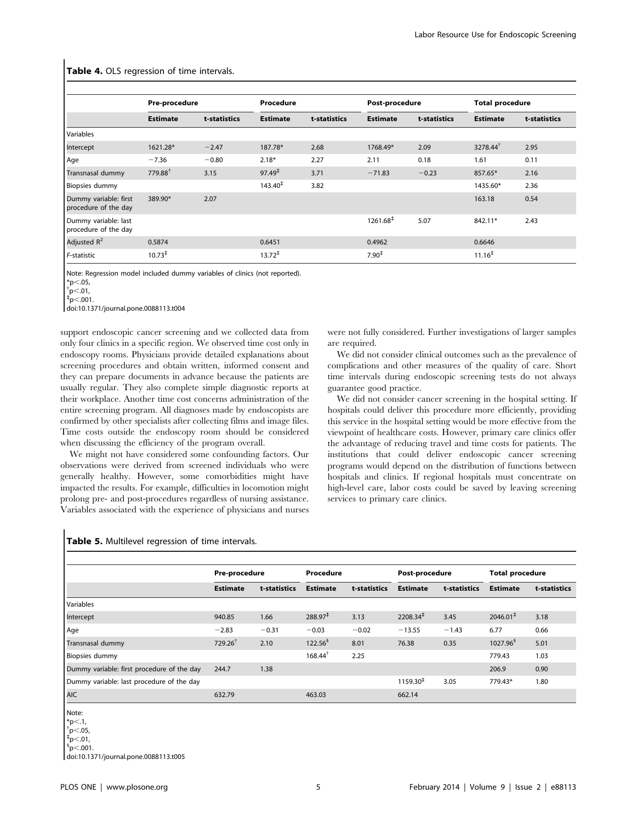|                                               | Pre-procedure      |              | Procedure           |              | Post-procedure       |              | <b>Total procedure</b> |              |
|-----------------------------------------------|--------------------|--------------|---------------------|--------------|----------------------|--------------|------------------------|--------------|
|                                               | <b>Estimate</b>    | t-statistics | <b>Estimate</b>     | t-statistics | <b>Estimate</b>      | t-statistics | <b>Estimate</b>        | t-statistics |
| Variables                                     |                    |              |                     |              |                      |              |                        |              |
| Intercept                                     | 1621.28*           | $-2.47$      | 187.78*             | 2.68         | 1768.49*             | 2.09         | 3278.44                | 2.95         |
| Age                                           | $-7.36$            | $-0.80$      | $2.18*$             | 2.27         | 2.11                 | 0.18         | 1.61                   | 0.11         |
| Transnasal dummy                              | 779.88             | 3.15         | $97.49^{\ddagger}$  | 3.71         | $-71.83$             | $-0.23$      | 857.65*                | 2.16         |
| Biopsies dummy                                |                    |              | $143.40^{\ddagger}$ | 3.82         |                      |              | 1435.60*               | 2.36         |
| Dummy variable: first<br>procedure of the day | 389.90*            | 2.07         |                     |              |                      |              | 163.18                 | 0.54         |
| Dummy variable: last<br>procedure of the day  |                    |              |                     |              | $1261.68^{\ddagger}$ | 5.07         | 842.11*                | 2.43         |
| Adjusted $R^2$                                | 0.5874             |              | 0.6451              |              | 0.4962               |              | 0.6646                 |              |
| F-statistic                                   | $10.73^{\ddagger}$ |              | $13.72^{\ddagger}$  |              | $7.90^{\ddagger}$    |              | $11.16^{\ddagger}$     |              |

Table 4. OLS regression of time intervals.

Note: Regression model included dummy variables of clinics (not reported).

 $*p<.05$ ,

 $\dagger$ p $<$ .01,

 $\texttt{m}$   $<$  001.

doi:10.1371/journal.pone.0088113.t004

support endoscopic cancer screening and we collected data from only four clinics in a specific region. We observed time cost only in endoscopy rooms. Physicians provide detailed explanations about screening procedures and obtain written, informed consent and they can prepare documents in advance because the patients are usually regular. They also complete simple diagnostic reports at their workplace. Another time cost concerns administration of the entire screening program. All diagnoses made by endoscopists are confirmed by other specialists after collecting films and image files. Time costs outside the endoscopy room should be considered when discussing the efficiency of the program overall.

We might not have considered some confounding factors. Our observations were derived from screened individuals who were generally healthy. However, some comorbidities might have impacted the results. For example, difficulties in locomotion might prolong pre- and post-procedures regardless of nursing assistance. Variables associated with the experience of physicians and nurses were not fully considered. Further investigations of larger samples are required.

We did not consider clinical outcomes such as the prevalence of complications and other measures of the quality of care. Short time intervals during endoscopic screening tests do not always guarantee good practice.

We did not consider cancer screening in the hospital setting. If hospitals could deliver this procedure more efficiently, providing this service in the hospital setting would be more effective from the viewpoint of healthcare costs. However, primary care clinics offer the advantage of reducing travel and time costs for patients. The institutions that could deliver endoscopic cancer screening programs would depend on the distribution of functions between hospitals and clinics. If regional hospitals must concentrate on high-level care, labor costs could be saved by leaving screening services to primary care clinics.

## Table 5. Multilevel regression of time intervals.

|                                            | Pre-procedure   |              | Procedure              |              | Post-procedure       |              | <b>Total procedure</b> |              |
|--------------------------------------------|-----------------|--------------|------------------------|--------------|----------------------|--------------|------------------------|--------------|
|                                            | <b>Estimate</b> | t-statistics | <b>Estimate</b>        | t-statistics | <b>Estimate</b>      | t-statistics | <b>Estimate</b>        | t-statistics |
| Variables                                  |                 |              |                        |              |                      |              |                        |              |
| Intercept                                  | 940.85          | 1.66         | $288.97^{\ddagger}$    | 3.13         | 2208.34 <sup>‡</sup> | 3.45         | 2046.01 <sup>‡</sup>   | 3.18         |
| Age                                        | $-2.83$         | $-0.31$      | $-0.03$                | $-0.02$      | $-13.55$             | $-1.43$      | 6.77                   | 0.66         |
| Transnasal dummy                           | 729.26          | 2.10         | $122.56^{\frac{5}{3}}$ | 8.01         | 76.38                | 0.35         | 1027.96 <sup>\$</sup>  | 5.01         |
| <b>Biopsies dummy</b>                      |                 |              | $168.44^{\dagger}$     | 2.25         |                      |              | 779.43                 | 1.03         |
| Dummy variable: first procedure of the day | 244.7           | 1.38         |                        |              |                      |              | 206.9                  | 0.90         |
| Dummy variable: last procedure of the day  |                 |              |                        |              | $1159.30^{\ddagger}$ | 3.05         | 779.43*                | 1.80         |
| <b>AIC</b>                                 | 632.79          |              | 463.03                 |              | 662.14               |              |                        |              |

Note:

 $*p<.1$ ,  $^\dagger$ p $<$ .05,

 $\boldsymbol{\mathsf{p}}$ -.01,

 $\rm\acute{s}_{D}$  < 001.

doi:10.1371/journal.pone.0088113.t005